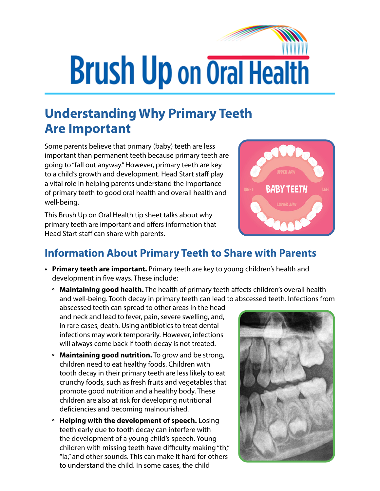## **Brush Up on Oral Health**

## **Understanding Why Primary Teeth Are Important**

Some parents believe that primary (baby) teeth are less important than permanent teeth because primary teeth are going to "fall out anyway." However, primary teeth are key to a child's growth and development. Head Start staff play a vital role in helping parents understand the importance of primary teeth to good oral health and overall health and well-being.

This Brush Up on Oral Health tip sheet talks about why primary teeth are important and offers information that Head Start staff can share with parents.



## **Information About Primary Teeth to Share with Parents**

- **• Primary teeth are important.** Primary teeth are key to young children's health and development in five ways. These include:
	- **º Maintaining good health.** The health of primary teeth affects children's overall health and well-being. Tooth decay in primary teeth can lead to abscessed teeth. Infections from

abscessed teeth can spread to other areas in the head and neck and lead to fever, pain, severe swelling, and, in rare cases, death. Using antibiotics to treat dental infections may work temporarily. However, infections will always come back if tooth decay is not treated.

- **º Maintaining good nutrition.** To grow and be strong, children need to eat healthy foods. Children with tooth decay in their primary teeth are less likely to eat crunchy foods, such as fresh fruits and vegetables that promote good nutrition and a healthy body. These children are also at risk for developing nutritional deficiencies and becoming malnourished.
- **º Helping with the development of speech.** Losing teeth early due to tooth decay can interfere with the development of a young child's speech. Young children with missing teeth have difficulty making "th," "la," and other sounds. This can make it hard for others to understand the child. In some cases, the child